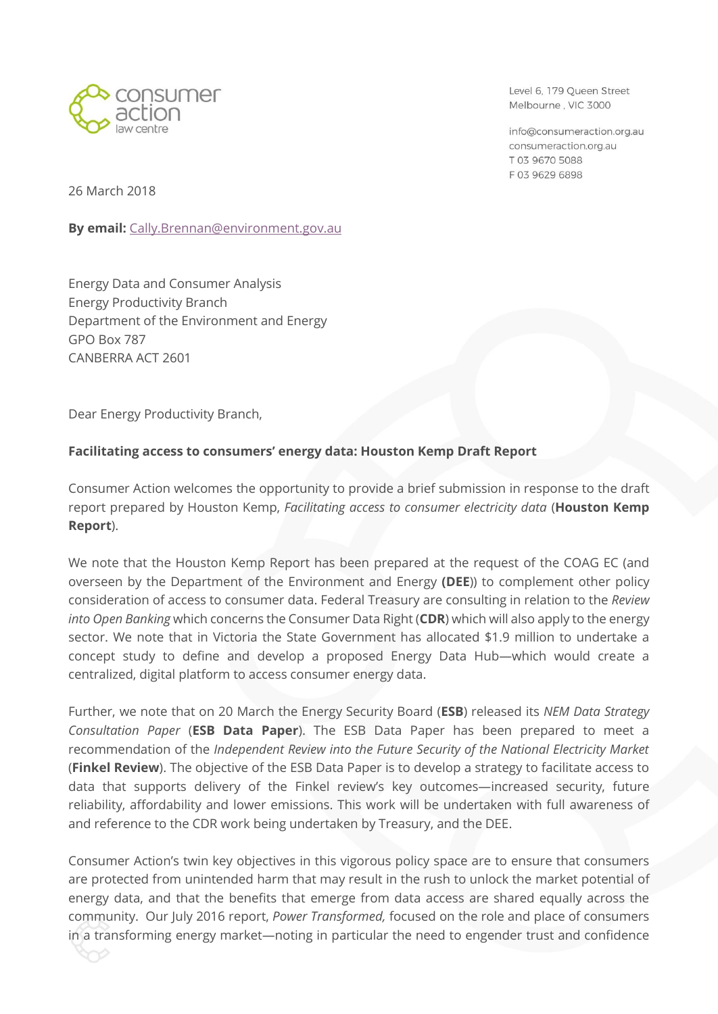

Level 6, 179 Queen Street Melbourne, VIC 3000

info@consumeraction.org.au consumeraction.org.au T 03 9670 5088 F0396296898

26 March 2018

**By email:** [Cally.Brennan@environment.gov.au](mailto:Cally.Brennan@environment.gov.au)

Energy Data and Consumer Analysis Energy Productivity Branch Department of the Environment and Energy GPO Box 787 CANBERRA ACT 2601

Dear Energy Productivity Branch,

### **Facilitating access to consumers' energy data: Houston Kemp Draft Report**

Consumer Action welcomes the opportunity to provide a brief submission in response to the draft report prepared by Houston Kemp, *Facilitating access to consumer electricity data* (**Houston Kemp Report**).

We note that the Houston Kemp Report has been prepared at the request of the COAG EC (and overseen by the Department of the Environment and Energy **(DEE**)) to complement other policy consideration of access to consumer data. Federal Treasury are consulting in relation to the *Review into Open Banking* which concerns the Consumer Data Right (**CDR**) which will also apply to the energy sector. We note that in Victoria the State Government has allocated \$1.9 million to undertake a concept study to define and develop a proposed Energy Data Hub—which would create a centralized, digital platform to access consumer energy data.

Further, we note that on 20 March the Energy Security Board (**ESB**) released its *NEM Data Strategy Consultation Paper* (**ESB Data Paper**). The ESB Data Paper has been prepared to meet a recommendation of the *Independent Review into the Future Security of the National Electricity Market* (**Finkel Review**). The objective of the ESB Data Paper is to develop a strategy to facilitate access to data that supports delivery of the Finkel review's key outcomes—increased security, future reliability, affordability and lower emissions. This work will be undertaken with full awareness of and reference to the CDR work being undertaken by Treasury, and the DEE.

Consumer Action's twin key objectives in this vigorous policy space are to ensure that consumers are protected from unintended harm that may result in the rush to unlock the market potential of energy data, and that the benefits that emerge from data access are shared equally across the community. Our July 2016 report, *Power Transformed,* focused on the role and place of consumers in a transforming energy market—noting in particular the need to engender trust and confidence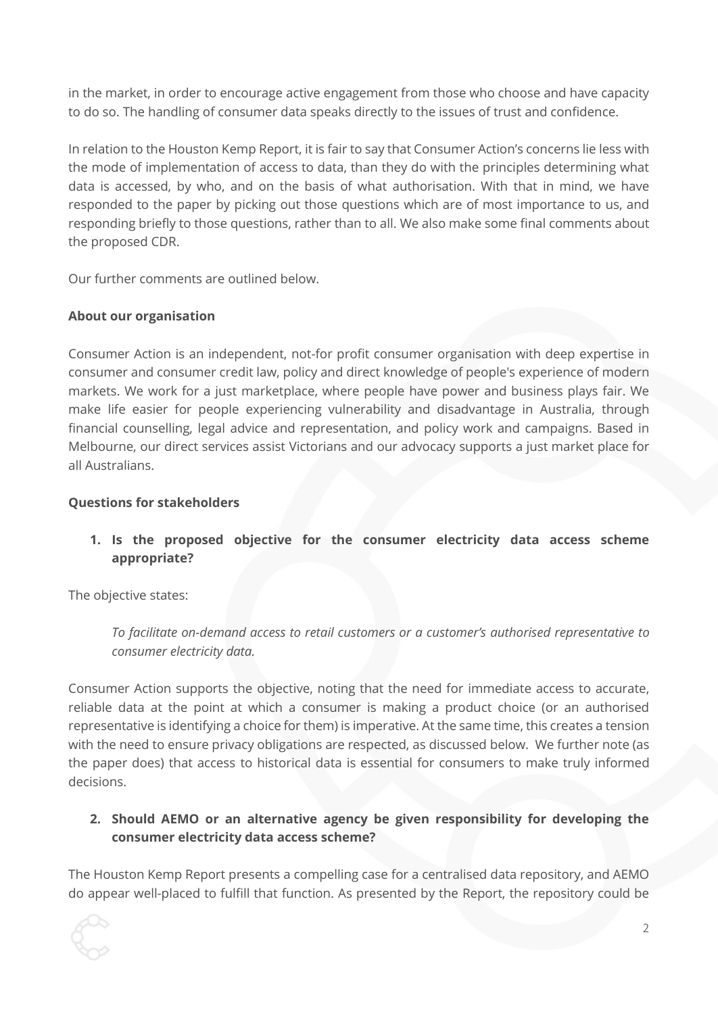in the market, in order to encourage active engagement from those who choose and have capacity to do so. The handling of consumer data speaks directly to the issues of trust and confidence.

In relation to the Houston Kemp Report, it is fair to say that Consumer Action's concerns lie less with the mode of implementation of access to data, than they do with the principles determining what data is accessed, by who, and on the basis of what authorisation. With that in mind, we have responded to the paper by picking out those questions which are of most importance to us, and responding briefly to those questions, rather than to all. We also make some final comments about the proposed CDR.

Our further comments are outlined below.

## **About our organisation**

Consumer Action is an independent, not-for profit consumer organisation with deep expertise in consumer and consumer credit law, policy and direct knowledge of people's experience of modern markets. We work for a just marketplace, where people have power and business plays fair. We make life easier for people experiencing vulnerability and disadvantage in Australia, through financial counselling, legal advice and representation, and policy work and campaigns. Based in Melbourne, our direct services assist Victorians and our advocacy supports a just market place for all Australians.

### **Questions for stakeholders**

# **1. Is the proposed objective for the consumer electricity data access scheme appropriate?**

The objective states:

*To facilitate on-demand access to retail customers or a customer's authorised representative to consumer electricity data.*

Consumer Action supports the objective, noting that the need for immediate access to accurate, reliable data at the point at which a consumer is making a product choice (or an authorised representative is identifying a choice for them) is imperative. At the same time, this creates a tension with the need to ensure privacy obligations are respected, as discussed below. We further note (as the paper does) that access to historical data is essential for consumers to make truly informed decisions.

# **2. Should AEMO or an alternative agency be given responsibility for developing the consumer electricity data access scheme?**

The Houston Kemp Report presents a compelling case for a centralised data repository, and AEMO do appear well-placed to fulfill that function. As presented by the Report, the repository could be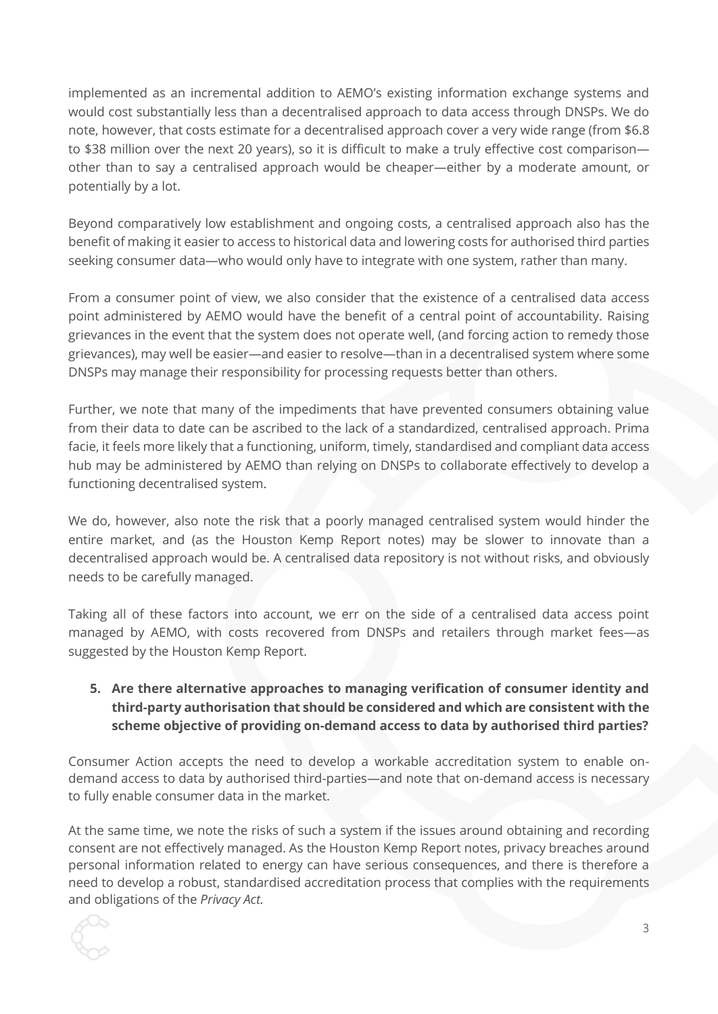implemented as an incremental addition to AEMO's existing information exchange systems and would cost substantially less than a decentralised approach to data access through DNSPs. We do note, however, that costs estimate for a decentralised approach cover a very wide range (from \$6.8 to \$38 million over the next 20 years), so it is difficult to make a truly effective cost comparison other than to say a centralised approach would be cheaper—either by a moderate amount, or potentially by a lot.

Beyond comparatively low establishment and ongoing costs, a centralised approach also has the benefit of making it easier to access to historical data and lowering costs for authorised third parties seeking consumer data—who would only have to integrate with one system, rather than many.

From a consumer point of view, we also consider that the existence of a centralised data access point administered by AEMO would have the benefit of a central point of accountability. Raising grievances in the event that the system does not operate well, (and forcing action to remedy those grievances), may well be easier—and easier to resolve—than in a decentralised system where some DNSPs may manage their responsibility for processing requests better than others.

Further, we note that many of the impediments that have prevented consumers obtaining value from their data to date can be ascribed to the lack of a standardized, centralised approach. Prima facie, it feels more likely that a functioning, uniform, timely, standardised and compliant data access hub may be administered by AEMO than relying on DNSPs to collaborate effectively to develop a functioning decentralised system.

We do, however, also note the risk that a poorly managed centralised system would hinder the entire market, and (as the Houston Kemp Report notes) may be slower to innovate than a decentralised approach would be. A centralised data repository is not without risks, and obviously needs to be carefully managed.

Taking all of these factors into account, we err on the side of a centralised data access point managed by AEMO, with costs recovered from DNSPs and retailers through market fees—as suggested by the Houston Kemp Report.

## **5. Are there alternative approaches to managing verification of consumer identity and third-party authorisation that should be considered and which are consistent with the scheme objective of providing on-demand access to data by authorised third parties?**

Consumer Action accepts the need to develop a workable accreditation system to enable ondemand access to data by authorised third-parties—and note that on-demand access is necessary to fully enable consumer data in the market.

At the same time, we note the risks of such a system if the issues around obtaining and recording consent are not effectively managed. As the Houston Kemp Report notes, privacy breaches around personal information related to energy can have serious consequences, and there is therefore a need to develop a robust, standardised accreditation process that complies with the requirements and obligations of the *Privacy Act.*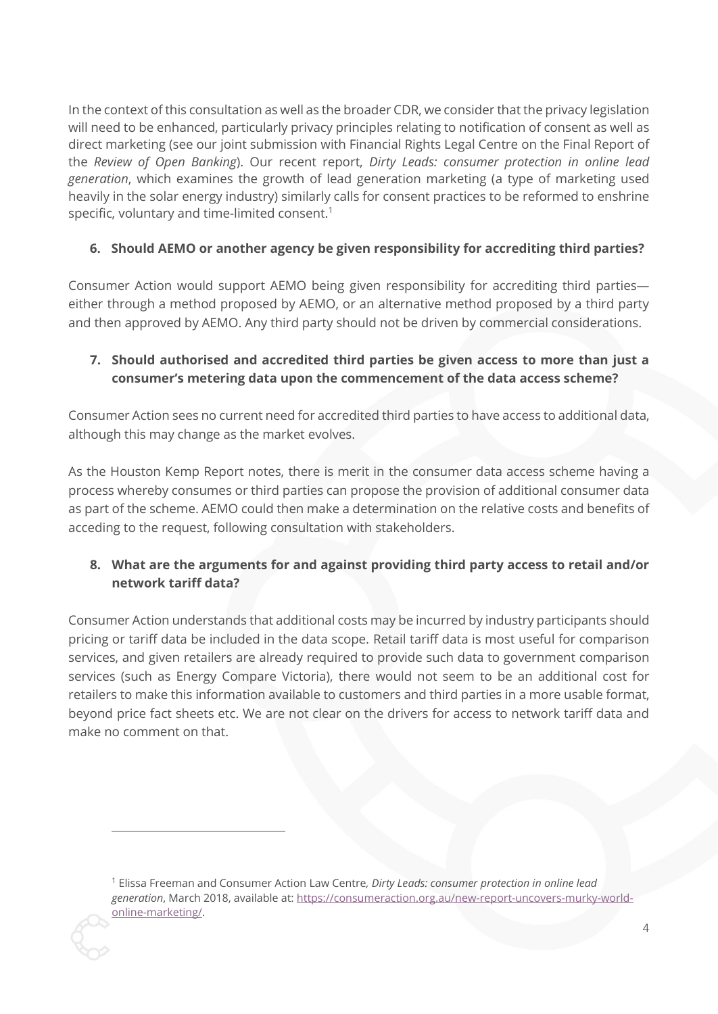In the context of this consultation as well as the broader CDR, we consider that the privacy legislation will need to be enhanced, particularly privacy principles relating to notification of consent as well as direct marketing (see our joint submission with Financial Rights Legal Centre on the Final Report of the *Review of Open Banking*). Our recent report, *Dirty Leads: consumer protection in online lead generation*, which examines the growth of lead generation marketing (a type of marketing used heavily in the solar energy industry) similarly calls for consent practices to be reformed to enshrine specific, voluntary and time-limited consent.<sup>1</sup>

## **6. Should AEMO or another agency be given responsibility for accrediting third parties?**

Consumer Action would support AEMO being given responsibility for accrediting third parties either through a method proposed by AEMO, or an alternative method proposed by a third party and then approved by AEMO. Any third party should not be driven by commercial considerations.

# **7. Should authorised and accredited third parties be given access to more than just a consumer's metering data upon the commencement of the data access scheme?**

Consumer Action sees no current need for accredited third parties to have access to additional data, although this may change as the market evolves.

As the Houston Kemp Report notes, there is merit in the consumer data access scheme having a process whereby consumes or third parties can propose the provision of additional consumer data as part of the scheme. AEMO could then make a determination on the relative costs and benefits of acceding to the request, following consultation with stakeholders.

# **8. What are the arguments for and against providing third party access to retail and/or network tariff data?**

Consumer Action understands that additional costs may be incurred by industry participants should pricing or tariff data be included in the data scope. Retail tariff data is most useful for comparison services, and given retailers are already required to provide such data to government comparison services (such as Energy Compare Victoria), there would not seem to be an additional cost for retailers to make this information available to customers and third parties in a more usable format, beyond price fact sheets etc. We are not clear on the drivers for access to network tariff data and make no comment on that.

 $\overline{a}$ 

<sup>1</sup> Elissa Freeman and Consumer Action Law Centre*, Dirty Leads: consumer protection in online lead generation*, March 2018, available at: [https://consumeraction.org.au/new-report-uncovers-murky-world](https://consumeraction.org.au/new-report-uncovers-murky-world-online-marketing/)[online-marketing/.](https://consumeraction.org.au/new-report-uncovers-murky-world-online-marketing/)